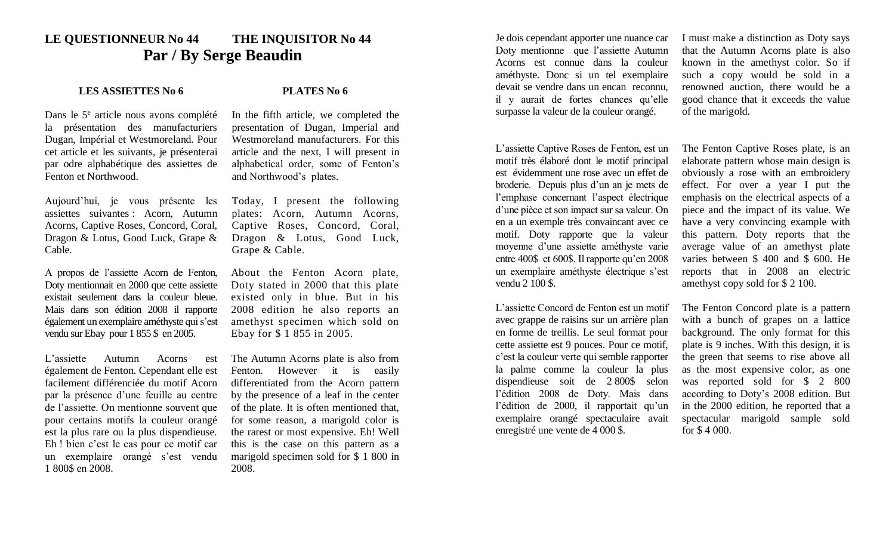## **LE QUESTIONNEUR No 44 THE INQUISITOR No 44 Par / By Serge Beaudin**

## **LES ASSIETTES No 6 PLATES No 6**

Dans le 5<sup>e</sup> article nous avons complété la présentation des manufacturiers Dugan, Impérial et Westmoreland. Pour cet article et les suivants, je présenterai par odre alphabétique des assiettes de Fenton et Northwood.

Aujourd'hui, je vous présente les assiettes suivantes : Acorn, Autumn Acorns, Captive Roses, Concord, Coral, Dragon & Lotus, Good Luck, Grape & Cable.

A propos de l'assiette Acorn de Fenton, Doty mentionnait en 2000 que cette assiette existait seulement dans la couleur bleue. Mais dans son édition 2008 il rapporte également un exemplaire améthyste qui s'est vendu sur Ebay pour 1 855 \$ en 2005.

L'assiette Autumn Acorns est également de Fenton. Cependant elle est facilement différenciée du motif Acorn par la présence d'une feuille au centre de l'assiette. On mentionne souvent que pour certains motifs la couleur orangé est la plus rare ou la plus dispendieuse. Eh ! bien c'est le cas pour ce motif car un exemplaire orangé s'est vendu 1 800\$ en 2008.

In the fifth article, we completed the presentation of Dugan, Imperial and Westmoreland manufacturers. For this article and the next, I will present in alphabetical order, some of Fenton's and Northwood's plates.

Today, I present the following plates: Acorn, Autumn Acorns, Captive Roses, Concord, Coral, Dragon & Lotus, Good Luck, Grape & Cable.

About the Fenton Acorn plate, Doty stated in 2000 that this plate existed only in blue. But in his 2008 edition he also reports an amethyst specimen which sold on Ebay for \$ 1 855 in 2005.

The Autumn Acorns plate is also from Fenton. However it is easily differentiated from the Acorn pattern by the presence of a leaf in the center of the plate. It is often mentioned that, for some reason, a marigold color is the rarest or most expensive. Eh! Well this is the case on this pattern as a marigold specimen sold for \$ 1 800 in 2008.

Je dois cependant apporter une nuance car Doty mentionne que l'assiette Autumn Acorns est connue dans la couleur améthyste. Donc si un tel exemplaire devait se vendre dans un encan reconnu, il y aurait de fortes chances qu'elle surpasse la valeur de la couleur orangé.

L'assiette Captive Roses de Fenton, est un motif très élaboré dont le motif principal est évidemment une rose avec un effet de broderie. Depuis plus d'un an je mets de l'emphase concernant l'aspect électrique d'une pièce et son impact sur sa valeur. On en a un exemple très convaincant avec ce motif. Doty rapporte que la valeur moyenne d'une assiette améthyste varie entre 400\$ et 600\$. Il rapporte qu'en 2008 un exemplaire améthyste électrique s'est vendu 2 100 \$.

L'assiette Concord de Fenton est un motif avec grappe de raisins sur un arrière plan en forme de treillis. Le seul format pour cette assiette est 9 pouces. Pour ce motif, c'est la couleur verte qui semble rapporter la palme comme la couleur la plus dispendieuse soit de 2 800\$ selon l'édition 2008 de Doty. Mais dans l'édition de 2000, il rapportait qu'un exemplaire orangé spectaculaire avait enregistré une vente de 4 000 \$.

I must make a distinction as Doty says that the Autumn Acorns plate is also known in the amethyst color. So if such a copy would be sold in a renowned auction, there would be a good chance that it exceeds the value of the marigold.

The Fenton Captive Roses plate, is an elaborate pattern whose main design is obviously a rose with an embroidery effect. For over a year I put the emphasis on the electrical aspects of a piece and the impact of its value. We have a very convincing example with this pattern. Doty reports that the average value of an amethyst plate varies between \$ 400 and \$ 600. He reports that in 2008 an electric amethyst copy sold for \$ 2 100.

The Fenton Concord plate is a pattern with a bunch of grapes on a lattice background. The only format for this plate is 9 inches. With this design, it is the green that seems to rise above all as the most expensive color, as one was reported sold for \$ 2 800 according to Doty's 2008 edition. But in the 2000 edition, he reported that a spectacular marigold sample sold for \$ 4 000.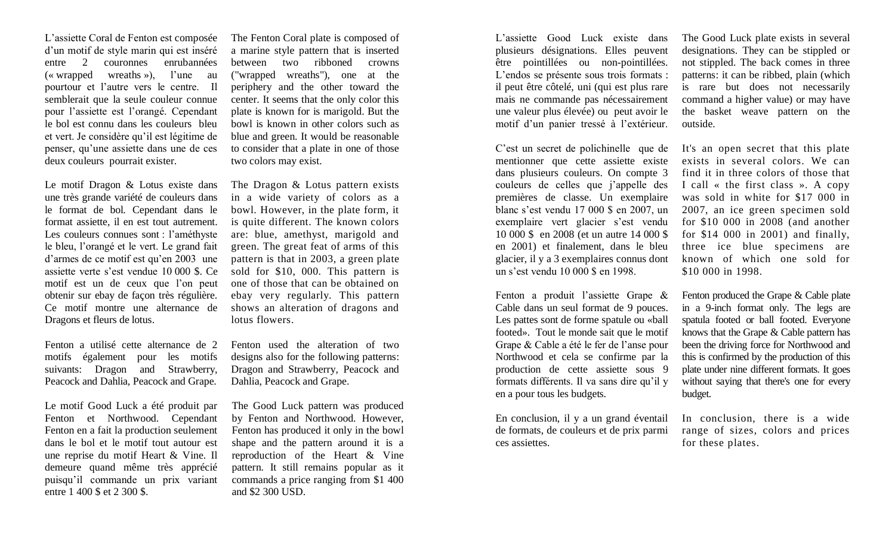L'assiette Coral de Fenton est composée d'un motif de style marin qui est inséré entre 2 couronnes enrubannées (« wrapped wreaths »), l'une au pourtour et l'autre vers le centre. Il semblerait que la seule couleur connue pour l'assiette est l'orangé. Cependant le bol est connu dans les couleurs bleu et vert. Je considère qu'il est légitime de penser, qu'une assiette dans une de ces deux couleurs pourrait exister.

Le motif Dragon & Lotus existe dans une très grande variété de couleurs dans le format de bol. Cependant dans le format assiette, il en est tout autrement. Les couleurs connues sont : l'améthyste le bleu, l'orangé et le vert. Le grand fait d'armes de ce motif est qu'en 2003 une assiette verte s'est vendue 10 000 \$. Ce motif est un de ceux que l'on peut obtenir sur ebay de façon très régulière. Ce motif montre une alternance de Dragons et fleurs de lotus.

Fenton a utilisé cette alternance de 2 motifs également pour les motifs suivants: Dragon and Strawberry, Peacock and Dahlia, Peacock and Grape.

Le motif Good Luck a été produit par Fenton et Northwood. Cependant Fenton en a fait la production seulement dans le bol et le motif tout autour est une reprise du motif Heart & Vine. Il demeure quand même très apprécié puisqu'il commande un prix variant entre 1 400 \$ et 2 300 \$.

The Fenton Coral plate is composed of a marine style pattern that is inserted between two ribboned crowns ("wrapped wreaths"), one at the periphery and the other toward the center. It seems that the only color this plate is known for is marigold. But the bowl is known in other colors such as blue and green. It would be reasonable to consider that a plate in one of those two colors may exist.

The Dragon & Lotus pattern exists in a wide variety of colors as a bowl. However, in the plate form, it is quite different. The known colors are: blue, amethyst, marigold and green. The great feat of arms of this pattern is that in 2003, a green plate sold for \$10, 000. This pattern is one of those that can be obtained on ebay very regularly. This pattern shows an alteration of dragons and lotus flowers.

Fenton used the alteration of two designs also for the following patterns: Dragon and Strawberry, Peacock and Dahlia, Peacock and Grape.

The Good Luck pattern was produced by Fenton and Northwood. However, Fenton has produced it only in the bowl shape and the pattern around it is a reproduction of the Heart & Vine pattern. It still remains popular as it commands a price ranging from \$1 400 and \$2 300 USD.

L'assiette Good Luck existe dans plusieurs désignations. Elles peuvent être pointillées ou non-pointillées. L'endos se présente sous trois formats : il peut être côtelé, uni (qui est plus rare mais ne commande pas nécessairement une valeur plus élevée) ou peut avoir le motif d'un panier tressé à l'extérieur.

C'est un secret de polichinelle que de mentionner que cette assiette existe dans plusieurs couleurs. On compte 3 couleurs de celles que j'appelle des premières de classe. Un exemplaire blanc s'est vendu 17 000 \$ en 2007, un exemplaire vert glacier s'est vendu 10 000 \$ en 2008 (et un autre 14 000 \$ en 2001) et finalement, dans le bleu glacier, il y a 3 exemplaires connus dont un s'est vendu 10 000 \$ en 1998.

Fenton a produit l'assiette Grape & Cable dans un seul format de 9 pouces. Les pattes sont de forme spatule ou «ball footed». Tout le monde sait que le motif Grape & Cable a été le fer de l'anse pour Northwood et cela se confirme par la production de cette assiette sous 9 formats différents. Il va sans dire qu'il y en a pour tous les budgets.

En conclusion, il y a un grand éventail de formats, de couleurs et de prix parmi ces assiettes.

The Good Luck plate exists in several designations. They can be stippled or not stippled. The back comes in three patterns: it can be ribbed, plain (which is rare but does not necessarily command a higher value) or may have the basket weave pattern on the outside.

It's an open secret that this plate exists in several colors. We can find it in three colors of those that I call « the first class ». A copy was sold in white for \$17 000 in 2007, an ice green specimen sold for \$10 000 in 2008 (and another for \$14 000 in 2001) and finally, three ice blue specimens are known of which one sold for \$10 000 in 1998.

Fenton produced the Grape & Cable plate in a 9-inch format only. The legs are spatula footed or ball footed. Everyone knows that the Grape & Cable pattern has been the driving force for Northwood and this is confirmed by the production of this plate under nine different formats. It goes without saying that there's one for every budget.

In conclusion, there is a wide range of sizes, colors and prices for these plates.